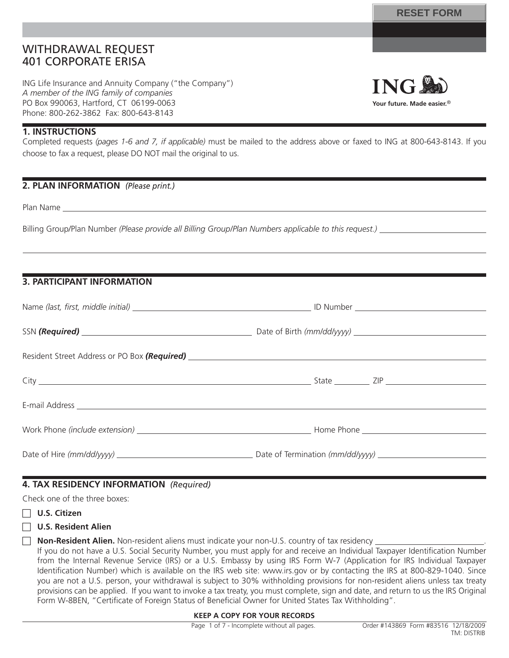# WITHDRAWAL REQUEST 401 CORPORATE ERISA

ING Life Insurance and Annuity Company ("the Company") *A member of the ING family of companies* PO Box 990063, Hartford, CT 06199-0063 Phone: 800-262-3862 Fax: 800-643-8143

# **ING Your future. Made easier.**®

# **1. INSTRUCTIONS**

Completed requests *(pages 1-6 and 7, if applicable)* must be mailed to the address above or faxed to ING at 800-643-8143. If you choose to fax a request, please DO NOT mail the original to us.

# **2. PLAN INFORMATION** *(Please print.)*

Plan Name

Billing Group/Plan Number *(Please provide all Billing Group/Plan Numbers applicable to this request.)*

# **3. PARTICIPANT INFORMATION**

# **4. TAX RESIDENCY INFORMATION** *(Required)*

Check one of the three boxes:

# F **U.S. Citizen**

## F **U.S. Resident Alien**

**Non-Resident Alien.** Non-resident aliens must indicate your non-U.S. country of tax residency

If you do not have a U.S. Social Security Number, you must apply for and receive an Individual Taxpayer Identification Number from the Internal Revenue Service (IRS) or a U.S. Embassy by using IRS Form W-7 (Application for IRS Individual Taxpayer Identification Number) which is available on the IRS web site: www.irs.gov or by contacting the IRS at 800-829-1040. Since you are not a U.S. person, your withdrawal is subject to 30% withholding provisions for non-resident aliens unless tax treaty provisions can be applied. If you want to invoke a tax treaty, you must complete, sign and date, and return to us the IRS Original Form W-8BEN, "Certificate of Foreign Status of Beneficial Owner for United States Tax Withholding".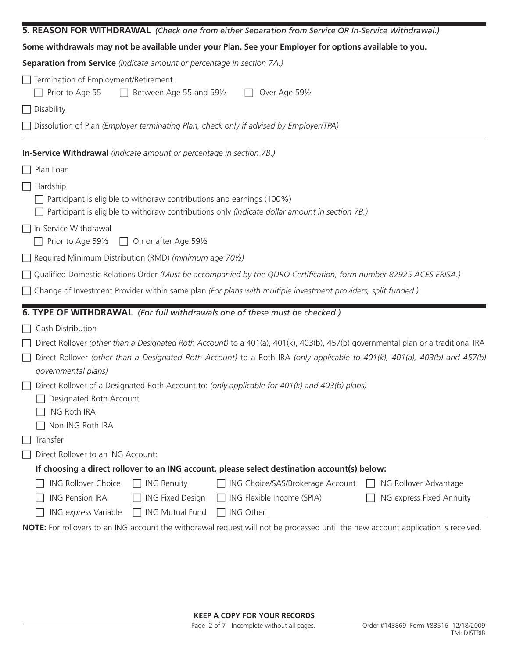| 5. REASON FOR WITHDRAWAL (Check one from either Separation from Service OR In-Service Withdrawal.)                                                                          |                           |
|-----------------------------------------------------------------------------------------------------------------------------------------------------------------------------|---------------------------|
| Some withdrawals may not be available under your Plan. See your Employer for options available to you.                                                                      |                           |
| Separation from Service (Indicate amount or percentage in section 7A.)                                                                                                      |                           |
| Termination of Employment/Retirement<br>Prior to Age 55<br>$\Box$ Between Age 55 and 591/2<br>Over Age 591/2                                                                |                           |
| $\Box$ Disability                                                                                                                                                           |                           |
| Dissolution of Plan (Employer terminating Plan, check only if advised by Employer/TPA)                                                                                      |                           |
| In-Service Withdrawal (Indicate amount or percentage in section 7B.)                                                                                                        |                           |
| $\Box$ Plan Loan                                                                                                                                                            |                           |
| $\Box$ Hardship                                                                                                                                                             |                           |
| Participant is eligible to withdraw contributions and earnings (100%)<br>Participant is eligible to withdraw contributions only (Indicate dollar amount in section 7B.)     |                           |
| □ In-Service Withdrawal<br>Prior to Age 591/2<br>$\Box$ On or after Age 591/2                                                                                               |                           |
| $\Box$ Required Minimum Distribution (RMD) (minimum age 70%)                                                                                                                |                           |
| □ Qualified Domestic Relations Order (Must be accompanied by the QDRO Certification, form number 82925 ACES ERISA.)                                                         |                           |
| $\Box$ Change of Investment Provider within same plan (For plans with multiple investment providers, split funded.)                                                         |                           |
| 6. TYPE OF WITHDRAWAL (For full withdrawals one of these must be checked.)                                                                                                  |                           |
| Cash Distribution                                                                                                                                                           |                           |
| Direct Rollover (other than a Designated Roth Account) to a 401(a), 401(k), 403(b), 457(b) governmental plan or a traditional IRA                                           |                           |
| Direct Rollover (other than a Designated Roth Account) to a Roth IRA (only applicable to 401(k), 401(a), 403(b) and 457(b)<br>$\mathsf{L}$<br>governmental plans)           |                           |
| Direct Rollover of a Designated Roth Account to: (only applicable for 401(k) and 403(b) plans)<br>$\Box$ Designated Roth Account<br><b>ING Roth IRA</b><br>Non-ING Roth IRA |                           |
| Transfer                                                                                                                                                                    |                           |
| Direct Rollover to an ING Account:                                                                                                                                          |                           |
| If choosing a direct rollover to an ING account, please select destination account(s) below:                                                                                |                           |
| <b>ING Rollover Choice</b><br><b>ING Renuity</b><br>ING Choice/SAS/Brokerage Account                                                                                        | □ ING Rollover Advantage  |
| <b>ING Pension IRA</b><br>ING Flexible Income (SPIA)<br><b>ING Fixed Design</b>                                                                                             | ING express Fixed Annuity |
| ING express Variable<br>$\Box$ ING Mutual Fund                                                                                                                              |                           |
| NOTE: For rollovers to an ING account the withdrawal request will not be processed until the new account application is received.                                           |                           |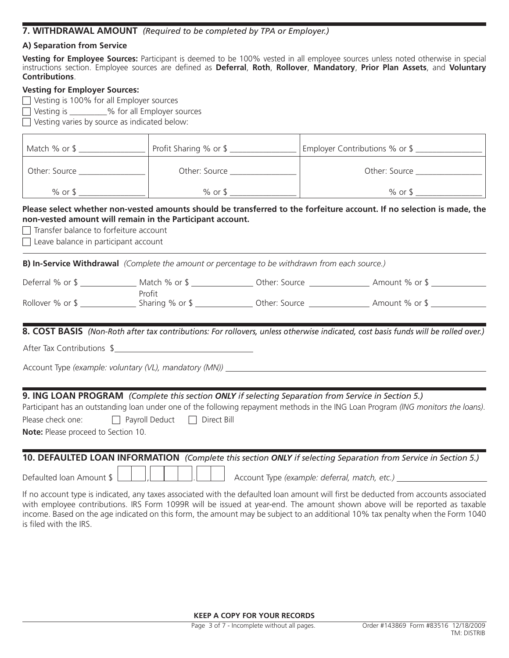# **7. WITHDRAWAL AMOUNT** *(Required to be completed by TPA or Employer.)*

# **A) Separation from Service**

**Vesting for Employee Sources:** Participant is deemed to be 100% vested in all employee sources unless noted otherwise in special instructions section. Employee sources are defined as Deferral, Roth, Rollover, Mandatory, Prior Plan Assets, and Voluntary **Contributions**.

## **Vesting for Employer Sources:**

 $\Box$  Vesting is 100% for all Employer sources

 $\Box$  Vesting is  $\Box$  % for all Employer sources

 $\Box$  Vesting varies by source as indicated below:

| Match % or \$ | Profit Sharing % or \$ | Employer Contributions % or \$ |
|---------------|------------------------|--------------------------------|
| Other: Source | Other: Source          | Other: Source                  |
| $%$ or \$     | $%$ or \$              | $%$ or \$                      |

## **Please select whether non-vested amounts should be transferred to the forfeiture account. If no selection is made, the non-vested amount will remain in the Participant account.**

 $\Box$  Transfer balance to forfeiture account

 $\Box$  Leave balance in participant account

**B) In-Service Withdrawal** *(Complete the amount or percentage to be withdrawn from each source.)*

| Deferral % or \$ | Match % or \$     | Other: Source | Amount % or \$ |  |
|------------------|-------------------|---------------|----------------|--|
|                  | Profit            |               |                |  |
| Rollover % or \$ | Sharing $%$ or \$ | Other: Source | Amount % or \$ |  |

**8. COST BASIS** *(Non-Roth after tax contributions: For rollovers, unless otherwise indicated, cost basis funds will be rolled over.)*

After Tax Contributions \$

Account Type *(example: voluntary (VL), mandatory (MN))*

# **9. ING LOAN PROGRAM** *(Complete this section ONLY if selecting Separation from Service in Section 5.)*

Participant has an outstanding loan under one of the following repayment methods in the ING Loan Program *(ING monitors the loans)*. Please check one:  $\Box$  Payroll Deduct  $\Box$  Direct Bill

**Note:** Please proceed to Section 10.

# **10. DEFAULTED LOAN INFORMATION** *(Complete this section ONLY if selecting Separation from Service in Section 5.)* Defaulted Ioan Amount  $\frac{1}{2}$   $\frac{1}{2}$   $\frac{1}{2}$   $\frac{1}{2}$   $\frac{1}{2}$   $\frac{1}{2}$  Account Type *(example: deferral, match, etc.)*

If no account type is indicated, any taxes associated with the defaulted loan amount will first be deducted from accounts associated with employee contributions. IRS Form 1099R will be issued at year-end. The amount shown above will be reported as taxable income. Based on the age indicated on this form, the amount may be subject to an additional 10% tax penalty when the Form 1040 is filed with the IRS.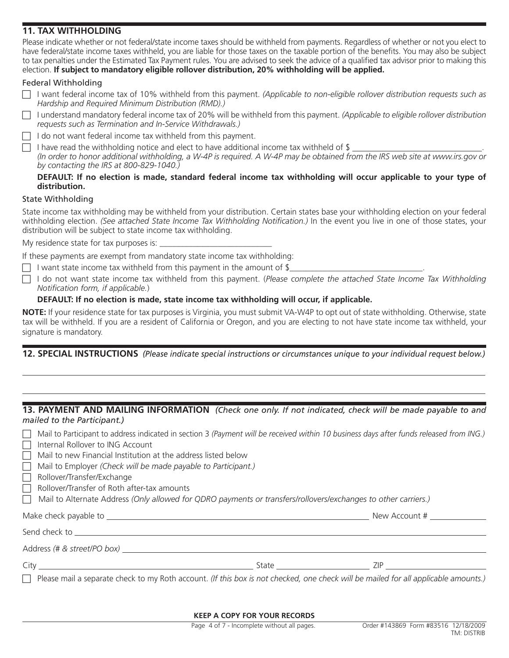# **11. TAX WITHHOLDING**

Please indicate whether or not federal/state income taxes should be withheld from payments. Regardless of whether or not you elect to have federal/state income taxes withheld, you are liable for those taxes on the taxable portion of the benefits. You may also be subject to tax penalties under the Estimated Tax Payment rules. You are advised to seek the advice of a qualified tax advisor prior to making this election. **If subject to mandatory eligible rollover distribution, 20% withholding will be applied.**

# Federal Withholding

- F I want federal income tax of 10% withheld from this payment. *(Applicable to non-eligible rollover distribution requests such as Hardship and Required Minimum Distribution (RMD).)*
- F I understand mandatory federal income tax of 20% will be withheld from this payment. *(Applicable to eligible rollover distribution requests such as Termination and In-Service Withdrawals.)*

 $\Box$  I do not want federal income tax withheld from this payment.

 $\Box$  I have read the withholding notice and elect to have additional income tax withheld of \$ *(In order to honor additional withholding, a W-4P is required. A W-4P may be obtained from the IRS web site at www.irs.gov or by contacting the IRS at 800-829-1040.)*

## **DEFAULT: If no election is made, standard federal income tax withholding will occur applicable to your type of distribution.**

# State Withholding

State income tax withholding may be withheld from your distribution. Certain states base your withholding election on your federal withholding election. *(See attached State Income Tax Withholding Notification.)* In the event you live in one of those states, your distribution will be subject to state income tax withholding.

My residence state for tax purposes is:

If these payments are exempt from mandatory state income tax withholding:

- $\Box$  I want state income tax withheld from this payment in the amount of \$
- F I do not want state income tax withheld from this payment. (*Please complete the attached State Income Tax Withholding Notifi cation form, if applicable.*)

# **DEFAULT: If no election is made, state income tax withholding will occur, if applicable.**

**NOTE:** If your residence state for tax purposes is Virginia, you must submit VA-W4P to opt out of state withholding. Otherwise, state tax will be withheld. If you are a resident of California or Oregon, and you are electing to not have state income tax withheld, your signature is mandatory.

**12. SPECIAL INSTRUCTIONS** *(Please indicate special instructions or circumstances unique to your individual request below.)*

## **13. PAYMENT AND MAILING INFORMATION** *(Check one only. If not indicated, check will be made payable to and mailed to the Participant.)*

| Mail to Participant to address indicated in section 3 (Payment will be received within 10 business days after funds released from ING.)<br>Internal Rollover to ING Account<br>Mail to new Financial Institution at the address listed below<br>Mail to Employer (Check will be made payable to Participant.)<br>Rollover/Transfer/Exchange<br>$\perp$<br>Rollover/Transfer of Roth after-tax amounts<br>Mail to Alternate Address (Only allowed for QDRO payments or transfers/rollovers/exchanges to other carriers.) |                                                                                                                                                          |
|-------------------------------------------------------------------------------------------------------------------------------------------------------------------------------------------------------------------------------------------------------------------------------------------------------------------------------------------------------------------------------------------------------------------------------------------------------------------------------------------------------------------------|----------------------------------------------------------------------------------------------------------------------------------------------------------|
|                                                                                                                                                                                                                                                                                                                                                                                                                                                                                                                         |                                                                                                                                                          |
| Send check to service and the service of the service of the service of the service of the service of the service of the service of the service of the service of the service of the service of the service of the service of t                                                                                                                                                                                                                                                                                          |                                                                                                                                                          |
| Address (# & street/PO box)                                                                                                                                                                                                                                                                                                                                                                                                                                                                                             |                                                                                                                                                          |
| City <b>Community</b> City <b>Community</b> City <b>Community</b> City <b>Community</b> Community Community Community Community Community Community Community Community Community Community Community Community Community Community Community Comm                                                                                                                                                                                                                                                                      | ZIP A CONTROLLER CONTROLLER CONTROLLER<br>State and the state of the state of the state of the state of the state of the state of the state of the state |
| Please mail a separate check to my Roth account. (If this box is not checked, one check will be mailed for all applicable amounts.)<br>$\Box$                                                                                                                                                                                                                                                                                                                                                                           |                                                                                                                                                          |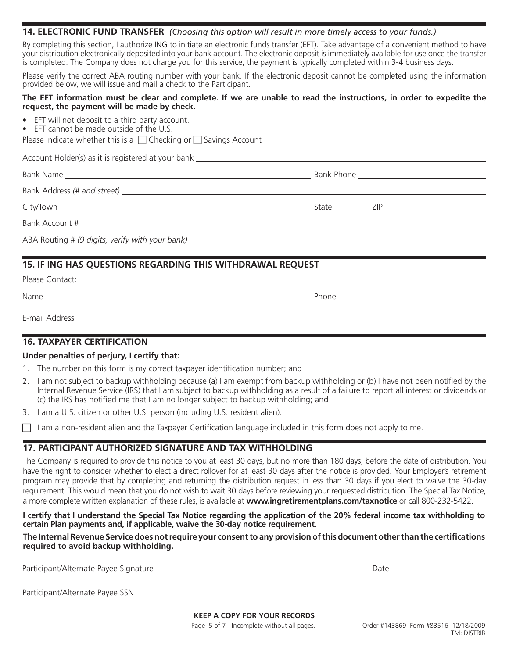## **14. ELECTRONIC FUND TRANSFER** *(Choosing this option will result in more timely access to your funds.)*

By completing this section, I authorize ING to initiate an electronic funds transfer (EFT). Take advantage of a convenient method to have your distribution electronically deposited into your bank account. The electronic deposit is immediately available for use once the transfer is completed. The Company does not charge you for this service, the payment is typically completed within 3-4 business days.

Please verify the correct ABA routing number with your bank. If the electronic deposit cannot be completed using the information provided below, we will issue and mail a check to the Participant.

### **The EFT information must be clear and complete. If we are unable to read the instructions, in order to expedite the request, the payment will be made by check.**

- EFT will not deposit to a third party account.
- EFT cannot be made outside of the U.S.

Please indicate whether this is a  $\Box$  Checking or  $\Box$  Savings Account

Account Holder(s) as it is registered at your bank

| Bank Account # 2008 and 2008 and 2008 and 2008 and 2008 and 2008 and 2008 and 2008 and 2008 and 2008 and 2008 and 2008 and 2008 and 2008 and 2008 and 2008 and 2008 and 2008 and 2008 and 2008 and 2008 and 2008 and 2008 and |  |
|-------------------------------------------------------------------------------------------------------------------------------------------------------------------------------------------------------------------------------|--|
|                                                                                                                                                                                                                               |  |

# **15. IF ING HAS QUESTIONS REGARDING THIS WITHDRAWAL REQUEST**

| Please Contact: |       |
|-----------------|-------|
| Name            | Phone |
| E-mail Address  |       |

# **16. TAXPAYER CERTIFICATION**

## **Under penalties of perjury, I certify that:**

- 1. The number on this form is my correct taxpayer identification number; and
- 2. I am not subject to backup withholding because (a) I am exempt from backup withholding or (b) I have not been notified by the Internal Revenue Service (IRS) that I am subject to backup withholding as a result of a failure to report all interest or dividends or  $(c)$  the IRS has notified me that I am no longer subject to backup withholding; and
- 3. I am a U.S. citizen or other U.S. person (including U.S. resident alien).
- $\Box$  I am a non-resident alien and the Taxpayer Certification language included in this form does not apply to me.

# **17. PARTICIPANT AUTHORIZED SIGNATURE AND TAX WITHHOLDING**

The Company is required to provide this notice to you at least 30 days, but no more than 180 days, before the date of distribution. You have the right to consider whether to elect a direct rollover for at least 30 days after the notice is provided. Your Employer's retirement program may provide that by completing and returning the distribution request in less than 30 days if you elect to waive the 30-day requirement. This would mean that you do not wish to wait 30 days before reviewing your requested distribution. The Special Tax Notice, a more complete written explanation of these rules, is available at **www.ingretirementplans.com/taxnotice** or call 800-232-5422.

### **I certify that I understand the Special Tax Notice regarding the application of the 20% federal income tax withholding to certain Plan payments and, if applicable, waive the 30-day notice requirement.**

## The Internal Revenue Service does not require your consent to any provision of this document other than the certifications **required to avoid backup withholding.**

Participant/Alternate Payee Signature **Date Access 2006** 2012 12:38 2014 2016 2017 2018 2019 2018 2019 2019 2018 Participant/Alternate Payee SSN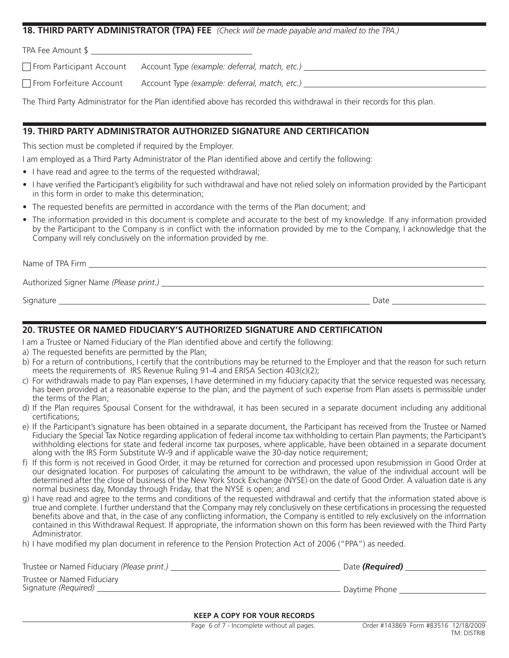## **18. THIRD PARTY ADMINISTRATOR (TPA) FEE** *(Check will be made payable and mailed to the TPA.)*

TPA Fee Amount \$

F From Participant Account Account Type *(example: deferral, match, etc.)*

F From Forfeiture Account Account Type *(example: deferral, match, etc.)*

The Third Party Administrator for the Plan identified above has recorded this withdrawal in their records for this plan.

# **19. THIRD PARTY ADMINISTRATOR AUTHORIZED SIGNATURE AND CERTIFICATION**

This section must be completed if required by the Employer.

I am employed as a Third Party Administrator of the Plan identified above and certify the following:

- I have read and agree to the terms of the requested withdrawal;
- I have verified the Participant's eligibility for such withdrawal and have not relied solely on information provided by the Participant in this form in order to make this determination;
- The requested benefits are permitted in accordance with the terms of the Plan document; and
- The information provided in this document is complete and accurate to the best of my knowledge. If any information provided by the Participant to the Company is in conflict with the information provided by me to the Company, I acknowledge that the Company will rely conclusively on the information provided by me.

Name of TPA Firm **Name of TPA** Firm  $\sim$ 

Authorized Signer Name *(Please print.)*

Signature Date

**20. TRUSTEE OR NAMED FIDUCIARY'S AUTHORIZED SIGNATURE AND CERTIFICATION**

I am a Trustee or Named Fiduciary of the Plan identified above and certify the following:

- a) The requested benefits are permitted by the Plan;
- b) For a return of contributions, I certify that the contributions may be returned to the Employer and that the reason for such return meets the requirements of IRS Revenue Ruling 91-4 and ERISA Section 403(c)(2);
- c) For withdrawals made to pay Plan expenses, I have determined in my fiduciary capacity that the service requested was necessary, has been provided at a reasonable expense to the plan; and the payment of such expense from Plan assets is permissible under the terms of the Plan;
- d) If the Plan requires Spousal Consent for the withdrawal, it has been secured in a separate document including any additional certifications;
- e) If the Participant's signature has been obtained in a separate document, the Participant has received from the Trustee or Named Fiduciary the Special Tax Notice regarding application of federal income tax withholding to certain Plan payments; the Participant's withholding elections for state and federal income tax purposes, where applicable, have been obtained in a separate document along with the IRS Form Substitute W-9 and if applicable waive the 30-day notice requirement;
- f) If this form is not received in Good Order, it may be returned for correction and processed upon resubmission in Good Order at our designated location. For purposes of calculating the amount to be withdrawn, the value of the individual account will be determined after the close of business of the New York Stock Exchange (NYSE) on the date of Good Order. A valuation date is any normal business day, Monday through Friday, that the NYSE is open; and
- g) I have read and agree to the terms and conditions of the requested withdrawal and certify that the information stated above is true and complete. I further understand that the Company may rely conclusively on these certifications in processing the requested benefits above and that, in the case of any conflicting information, the Company is entitled to rely exclusively on the information contained in this Withdrawal Request. If appropriate, the information shown on this form has been reviewed with the Third Party Administrator.
- h) I have modified my plan document in reference to the Pension Protection Act of 2006 ("PPA") as needed.

| Trustee or Named Fiduciary (Please print.)         | Date (Required) |
|----------------------------------------------------|-----------------|
| Trustee or Named Fiduciary<br>Signature (Required) | Daytime Phone   |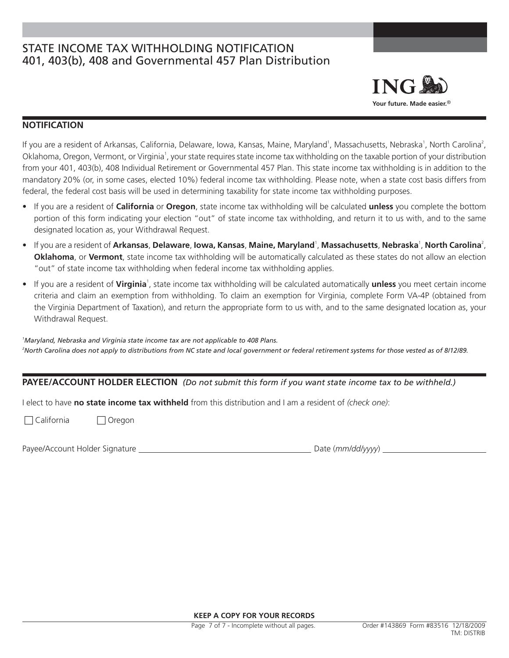# STATE INCOME TAX WITHHOLDING NOTIFICATION 401, 403(b), 408 and Governmental 457 Plan Distribution



# **NOTIFICATION**

If you are a resident of Arkansas, California, Delaware, Iowa, Kansas, Maine, Maryland<sup>1</sup>, Massachusetts, Nebraska<sup>1</sup>, North Carolina<sup>2</sup>, Oklahoma, Oregon, Vermont, or Virginia<sup>1</sup>, your state requires state income tax withholding on the taxable portion of your distribution from your 401, 403(b), 408 Individual Retirement or Governmental 457 Plan. This state income tax withholding is in addition to the mandatory 20% (or, in some cases, elected 10%) federal income tax withholding. Please note, when a state cost basis differs from federal, the federal cost basis will be used in determining taxability for state income tax withholding purposes.

- If you are a resident of **California** or **Oregon**, state income tax withholding will be calculated **unless** you complete the bottom portion of this form indicating your election "out" of state income tax withholding, and return it to us with, and to the same designated location as, your Withdrawal Request.
- **•** If you are a resident of Arkansas, Delaware, Iowa, Kansas, Maine, Maryland<sup>1</sup>, Massachusetts, Nebraska<sup>1</sup>, North Carolina<sup>2</sup>, **Oklahoma**, or **Vermont**, state income tax withholding will be automatically calculated as these states do not allow an election "out" of state income tax withholding when federal income tax withholding applies.
- If you are a resident of **Virginia**<sup>1</sup>, state income tax withholding will be calculated automatically unless you meet certain income criteria and claim an exemption from withholding. To claim an exemption for Virginia, complete Form VA-4P (obtained from the Virginia Department of Taxation), and return the appropriate form to us with, and to the same designated location as, your Withdrawal Request.

*1 Maryland, Nebraska and Virginia state income tax are not applicable to 408 Plans. 2 North Carolina does not apply to distributions from NC state and local government or federal retirement systems for those vested as of 8/12/89.*

# **PAYEE/ACCOUNT HOLDER ELECTION** *(Do not submit this form if you want state income tax to be withheld.)*

I elect to have **no state income tax withheld** from this distribution and I am a resident of *(check one)*:

 $\Box$  California  $\Box$  Oregon

Payee/Account Holder Signature Date (*mm/dd/yyyy*)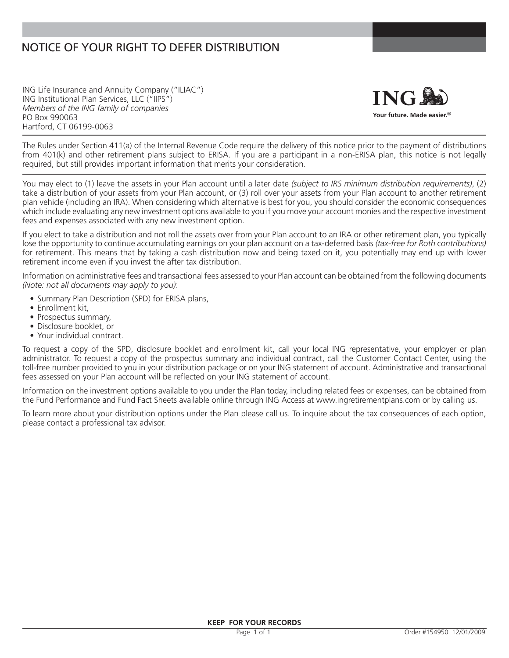# NOTICE OF YOUR RIGHT TO DEFER DISTRIBUTION

ING Life Insurance and Annuity Company ("ILIAC") ING Institutional Plan Services, LLC ("IIPS") *Members of the ING family of companies* PO Box 990063 Hartford, CT 06199-0063



The Rules under Section 411(a) of the Internal Revenue Code require the delivery of this notice prior to the payment of distributions from 401(k) and other retirement plans subject to ERISA. If you are a participant in a non-ERISA plan, this notice is not legally required, but still provides important information that merits your consideration.

You may elect to (1) leave the assets in your Plan account until a later date *(subject to IRS minimum distribution requirements)*, (2) take a distribution of your assets from your Plan account, or (3) roll over your assets from your Plan account to another retirement plan vehicle (including an IRA). When considering which alternative is best for you, you should consider the economic consequences which include evaluating any new investment options available to you if you move your account monies and the respective investment fees and expenses associated with any new investment option.

If you elect to take a distribution and not roll the assets over from your Plan account to an IRA or other retirement plan, you typically lose the opportunity to continue accumulating earnings on your plan account on a tax-deferred basis *(tax-free for Roth contributions)* for retirement. This means that by taking a cash distribution now and being taxed on it, you potentially may end up with lower retirement income even if you invest the after tax distribution.

Information on administrative fees and transactional fees assessed to your Plan account can be obtained from the following documents *(Note: not all documents may apply to you)*:

- Summary Plan Description (SPD) for ERISA plans,
- Enrollment kit,
- Prospectus summary,
- Disclosure booklet, or
- Your individual contract.

To request a copy of the SPD, disclosure booklet and enrollment kit, call your local ING representative, your employer or plan administrator. To request a copy of the prospectus summary and individual contract, call the Customer Contact Center, using the toll-free number provided to you in your distribution package or on your ING statement of account. Administrative and transactional fees assessed on your Plan account will be reflected on your ING statement of account.

Information on the investment options available to you under the Plan today, including related fees or expenses, can be obtained from the Fund Performance and Fund Fact Sheets available online through ING Access at www.ingretirementplans.com or by calling us.

To learn more about your distribution options under the Plan please call us. To inquire about the tax consequences of each option, please contact a professional tax advisor.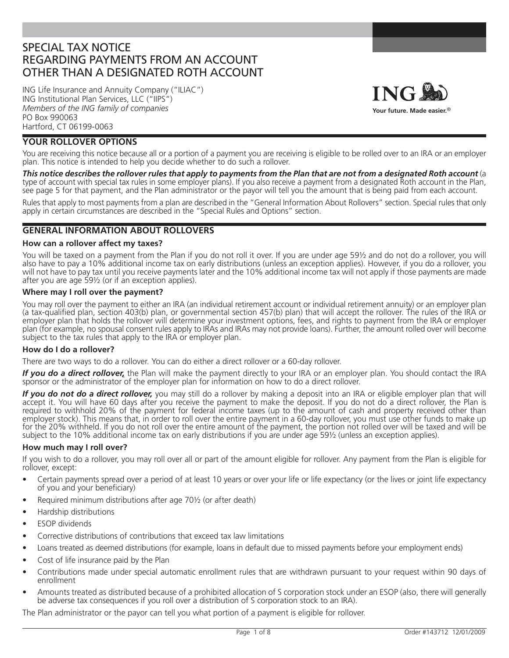# SPECIAL TAX NOTICE REGARDING PAYMENTS FROM AN ACCOUNT OTHER THAN A DESIGNATED ROTH ACCOUNT

ING Life Insurance and Annuity Company ("ILIAC") ING Institutional Plan Services, LLC ("IIPS") *Members of the ING family of companies* PO Box 990063 Hartford, CT 06199-0063



# **YOUR ROLLOVER OPTIONS**

You are receiving this notice because all or a portion of a payment you are receiving is eligible to be rolled over to an IRA or an employer plan. This notice is intended to help you decide whether to do such a rollover.

*This notice describes the rollover rules that apply to payments from the Plan that are not from a designated Roth account* (a type of account with special tax rules in some employer plans). If you also receive a payment from a designated Roth account in the Plan, see page 5 for that payment, and the Plan administrator or the payor will tell you the amount that is being paid from each account.

Rules that apply to most payments from a plan are described in the "General Information About Rollovers" section. Special rules that only apply in certain circumstances are described in the "Special Rules and Options" section.

# **GENERAL INFORMATION ABOUT ROLLOVERS**

### **How can a rollover affect my taxes?**

You will be taxed on a payment from the Plan if you do not roll it over. If you are under age 59½ and do not do a rollover, you will also have to pay a 10% additional income tax on early distributions (unless an exception applies). However, if you do a rollover, you will not have to pay tax until you receive payments later and the 10% additional income tax will not apply if those payments are made after you are age 59½ (or if an exception applies).

#### **Where may I roll over the payment?**

You may roll over the payment to either an IRA (an individual retirement account or individual retirement annuity) or an employer plan (a tax-qualified plan, section 403(b) plan, or governmental section 457(b) plan) that will accept the rollover. The rules of the IRA or employer plan that holds the rollover will determine your investment options, fees, and rights to payment from the IRA or employer plan (for example, no spousal consent rules apply to IRAs and IRAs may not provide loans). Further, the amount rolled over will become subject to the tax rules that apply to the IRA or employer plan.

### **How do I do a rollover?**

There are two ways to do a rollover. You can do either a direct rollover or a 60-day rollover.

*If you do a direct rollover,* the Plan will make the payment directly to your IRA or an employer plan. You should contact the IRA sponsor or the administrator of the employer plan for information on how to do a direct rollover.

*If you do not do a direct rollover,* you may still do a rollover by making a deposit into an IRA or eligible employer plan that will accept it. You will have 60 days after you receive the payment to make the deposit. If you do not do a direct rollover, the Plan is required to withhold 20% of the payment for federal income taxes (up to the amount of cash and property received other than employer stock). This means that, in order to roll over the entire payment in a 60-day rollover, you must use other funds to make up for the 20% withheld. If you do not roll over the entire amount of the payment, the portion not rolled over will be taxed and will be subject to the 10% additional income tax on early distributions if you are under age 59½ (unless an exception applies).

### **How much may I roll over?**

If you wish to do a rollover, you may roll over all or part of the amount eligible for rollover. Any payment from the Plan is eligible for rollover, except:

- Certain payments spread over a period of at least 10 years or over your life or life expectancy (or the lives or joint life expectancy of you and your beneficiary)
- Required minimum distributions after age 70<sup>1</sup>/<sub>2</sub> (or after death)
- Hardship distributions
- **ESOP** dividends
- Corrective distributions of contributions that exceed tax law limitations
- Loans treated as deemed distributions (for example, loans in default due to missed payments before your employment ends)
- Cost of life insurance paid by the Plan
- Contributions made under special automatic enrollment rules that are withdrawn pursuant to your request within 90 days of enrollment
- Amounts treated as distributed because of a prohibited allocation of S corporation stock under an ESOP (also, there will generally be adverse tax consequences if you roll over a distribution of S corporation stock to an IRA).

The Plan administrator or the payor can tell you what portion of a payment is eligible for rollover.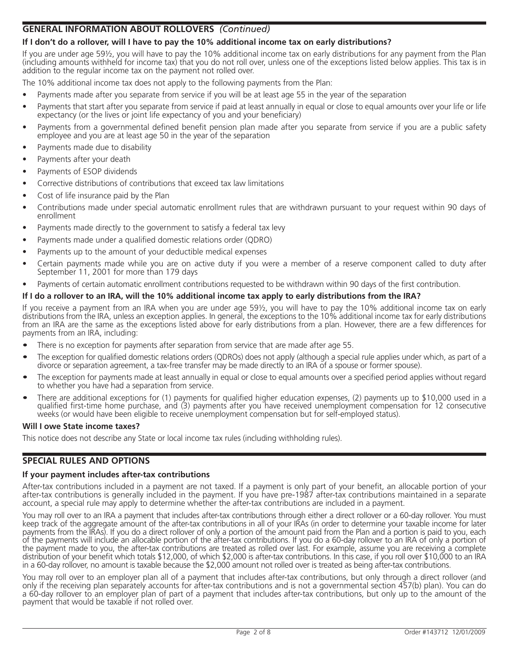# **GENERAL INFORMATION ABOUT ROLLOVERS** *(Continued)*

# **If I don't do a rollover, will I have to pay the 10% additional income tax on early distributions?**

If you are under age 59½, you will have to pay the 10% additional income tax on early distributions for any payment from the Plan (including amounts withheld for income tax) that you do not roll over, unless one of the exceptions listed below applies. This tax is in addition to the regular income tax on the payment not rolled over.

The 10% additional income tax does not apply to the following payments from the Plan:

- Payments made after you separate from service if you will be at least age 55 in the year of the separation
- Payments that start after you separate from service if paid at least annually in equal or close to equal amounts over your life or life expectancy (or the lives or joint life expectancy of you and your beneficiary)
- Payments from a governmental defined benefit pension plan made after you separate from service if you are a public safety employee and you are at least age 50 in the year of the separation
- Payments made due to disability
- Payments after your death
- Payments of ESOP dividends
- Corrective distributions of contributions that exceed tax law limitations
- Cost of life insurance paid by the Plan
- Contributions made under special automatic enrollment rules that are withdrawn pursuant to your request within 90 days of enrollment
- Payments made directly to the government to satisfy a federal tax levy
- Payments made under a qualified domestic relations order (QDRO)
- Payments up to the amount of your deductible medical expenses
- Certain payments made while you are on active duty if you were a member of a reserve component called to duty after September 11, 2001 for more than 179 days
- Payments of certain automatic enrollment contributions requested to be withdrawn within 90 days of the first contribution.

## **If I do a rollover to an IRA, will the 10% additional income tax apply to early distributions from the IRA?**

If you receive a payment from an IRA when you are under age 59½, you will have to pay the 10% additional income tax on early distributions from the IRA, unless an exception applies. In general, the exceptions to the 10% additional income tax for early distributions from an IRA are the same as the exceptions listed above for early distributions from a plan. However, there are a few differences for payments from an IRA, including:

- There is no exception for payments after separation from service that are made after age 55.
- The exception for qualified domestic relations orders (QDROs) does not apply (although a special rule applies under which, as part of a divorce or separation agreement, a tax-free transfer may be made directly to an IRA of a spouse or former spouse).
- The exception for payments made at least annually in equal or close to equal amounts over a specified period applies without regard to whether you have had a separation from service.
- There are additional exceptions for (1) payments for qualified higher education expenses, (2) payments up to \$10,000 used in a qualified first-time home purchase, and (3) payments after you have received unemployment compensation for 12 consecutive weeks (or would have been eligible to receive unemployment compensation but for self-employed status).

### **Will I owe State income taxes?**

This notice does not describe any State or local income tax rules (including withholding rules).

## **SPECIAL RULES AND OPTIONS**

### **If your payment includes after-tax contributions**

After-tax contributions included in a payment are not taxed. If a payment is only part of your benefit, an allocable portion of your after-tax contributions is generally included in the payment. If you have pre-1987 after-tax contributions maintained in a separate account, a special rule may apply to determine whether the after-tax contributions are included in a payment.

You may roll over to an IRA a payment that includes after-tax contributions through either a direct rollover or a 60-day rollover. You must keep track of the aggregate amount of the after-tax contributions in all of your IRAs (in order to determine your taxable income for later payments from the IRAs). If you do a direct rollover of only a portion of the amount paid from the Plan and a portion is paid to you, each of the payments will include an allocable portion of the after-tax contributions. If you do a 60-day rollover to an IRA of only a portion of the payment made to you, the after-tax contributions are treated as rolled over last. For example, assume you are receiving a complete distribution of your benefit which totals \$12,000, of which \$2,000 is after-tax contributions. In this case, if you roll over \$10,000 to an IRA in a 60-day rollover, no amount is taxable because the \$2,000 amount not rolled over is treated as being after-tax contributions.

You may roll over to an employer plan all of a payment that includes after-tax contributions, but only through a direct rollover (and only if the receiving plan separately accounts for after-tax contributions and is not a governmental section 457(b) plan). You can do a 60-day rollover to an employer plan of part of a payment that includes after-tax contributions, but only up to the amount of the payment that would be taxable if not rolled over.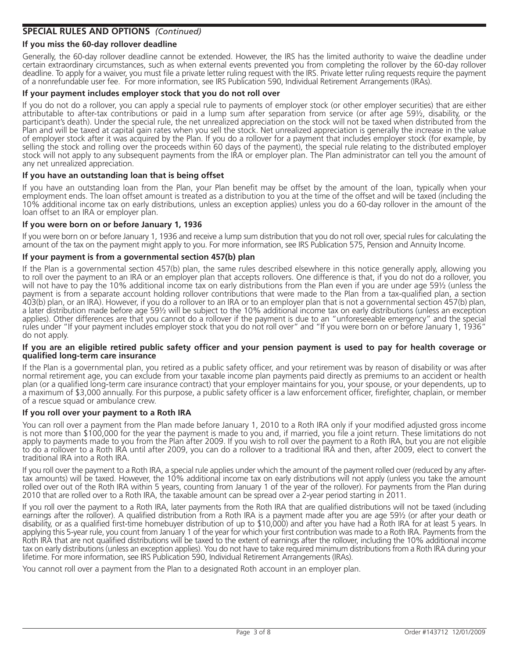# **SPECIAL RULES AND OPTIONS** *(Continued)*

## **If you miss the 60-day rollover deadline**

Generally, the 60-day rollover deadline cannot be extended. However, the IRS has the limited authority to waive the deadline under certain extraordinary circumstances, such as when external events prevented you from completing the rollover by the 60-day rollover deadline. To apply for a waiver, you must file a private letter ruling request with the IRS. Private letter ruling requests require the payment of a nonrefundable user fee. For more information, see IRS Publication 590, Individual Retirement Arrangements (IRAs).

## **If your payment includes employer stock that you do not roll over**

If you do not do a rollover, you can apply a special rule to payments of employer stock (or other employer securities) that are either attributable to after-tax contributions or paid in a lump sum after separation from service (or after age 59½, disability, or the participant's death). Under the special rule, the net unrealized appreciation on the stock will not be taxed when distributed from the Plan and will be taxed at capital gain rates when you sell the stock. Net unrealized appreciation is generally the increase in the value of employer stock after it was acquired by the Plan. If you do a rollover for a payment that includes employer stock (for example, by selling the stock and rolling over the proceeds within 60 days of the payment), the special rule relating to the distributed employer stock will not apply to any subsequent payments from the IRA or employer plan. The Plan administrator can tell you the amount of any net unrealized appreciation.

### **If you have an outstanding loan that is being offset**

If you have an outstanding loan from the Plan, your Plan benefit may be offset by the amount of the loan, typically when your employment ends. The loan offset amount is treated as a distribution to you at the time of the offset and will be taxed (including the 10% additional income tax on early distributions, unless an exception applies) unless you do a 60-day rollover in the amount of the loan offset to an IRA or employer plan.

#### **If you were born on or before January 1, 1936**

If you were born on or before January 1, 1936 and receive a lump sum distribution that you do not roll over, special rules for calculating the amount of the tax on the payment might apply to you. For more information, see IRS Publication 575, Pension and Annuity Income.

### **If your payment is from a governmental section 457(b) plan**

If the Plan is a governmental section 457(b) plan, the same rules described elsewhere in this notice generally apply, allowing you to roll over the payment to an IRA or an employer plan that accepts rollovers. One difference is that, if you do not do a rollover, you will not have to pay the 10% additional income tax on early distributions from the Plan even if you are under age 59½ (unless the payment is from a separate account holding rollover contributions that were made to the Plan from a tax-qualified plan, a section 403(b) plan, or an IRA). However, if you do a rollover to an IRA or to an employer plan that is not a governmental section 457(b) plan, a later distribution made before age 591/2 will be subject to the 10% additional income tax on early distributions (unless an exception applies). Other differences are that you cannot do a rollover if the payment is due to an "unforeseeable emergency" and the special rules under "If your payment includes employer stock that you do not roll over" and "If you were born on or before January 1, 1936" do not apply.

#### If you are an eligible retired public safety officer and your pension payment is used to pay for health coverage or **qualifi ed long-term care insurance**

If the Plan is a governmental plan, you retired as a public safety officer, and your retirement was by reason of disability or was after normal retirement age, you can exclude from your taxable income plan payments paid directly as premiums to an accident or health plan (or a qualified long-term care insurance contract) that your employer maintains for you, your spouse, or your dependents, up to a maximum of \$3,000 annually. For this purpose, a public safety officer is a law enforcement officer, firefighter, chaplain, or member of a rescue squad or ambulance crew.

#### **If you roll over your payment to a Roth IRA**

You can roll over a payment from the Plan made before January 1, 2010 to a Roth IRA only if your modified adjusted gross income is not more than \$100,000 for the year the payment is made to you and, if married, you fi le a joint return. These limitations do not apply to payments made to you from the Plan after 2009. If you wish to roll over the payment to a Roth IRA, but you are not eligible to do a rollover to a Roth IRA until after 2009, you can do a rollover to a traditional IRA and then, after 2009, elect to convert the traditional IRA into a Roth IRA.

If you roll over the payment to a Roth IRA, a special rule applies under which the amount of the payment rolled over (reduced by any aftertax amounts) will be taxed. However, the 10% additional income tax on early distributions will not apply (unless you take the amount rolled over out of the Roth IRA within 5 years, counting from January 1 of the year of the rollover). For payments from the Plan during 2010 that are rolled over to a Roth IRA, the taxable amount can be spread over a 2-year period starting in 2011.

If you roll over the payment to a Roth IRA, later payments from the Roth IRA that are qualified distributions will not be taxed (including earnings after the rollover). A qualified distribution from a Roth IRA is a payment made after you are age 59½ (or after your death or disability, or as a qualified first-time homebuyer distribution of up to \$10,000) and after you have had a Roth IRA for at least 5 years. In applying this 5-year rule, you count from January 1 of the year for which your first contribution was made to a Roth IRA. Payments from the Roth IRA that are not qualified distributions will be taxed to the extent of earnings after the rollover, including the 10% additional income tax on early distributions (unless an exception applies). You do not have to take required minimum distributions from a Roth IRA during your lifetime. For more information, see IRS Publication 590, Individual Retirement Arrangements (IRAs).

You cannot roll over a payment from the Plan to a designated Roth account in an employer plan.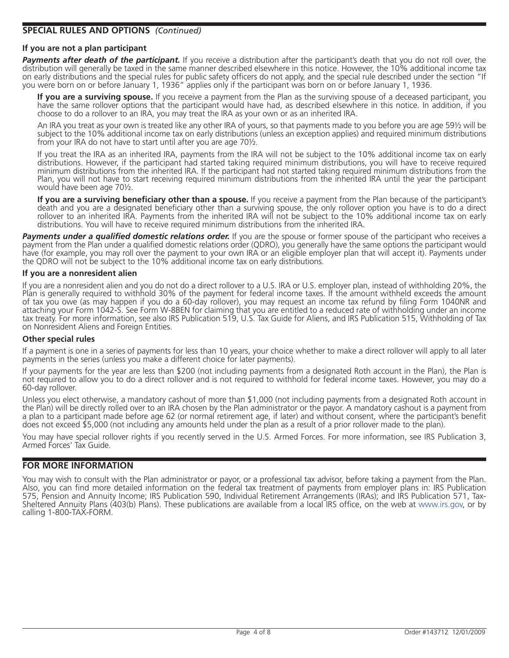# **SPECIAL RULES AND OPTIONS** *(Continued)*

#### **If you are not a plan participant**

**Payments after death of the participant.** If you receive a distribution after the participant's death that you do not roll over, the distribution will generally be taxed in the same manner described elsewhere in this notice. However, the 10% additional income tax on early distributions and the special rules for public safety officers do not apply, and the special rule described under the section "If you were born on or before January 1, 1936" applies only if the participant was born on or before January 1, 1936.

**If you are a surviving spouse.** If you receive a payment from the Plan as the surviving spouse of a deceased participant, you have the same rollover options that the participant would have had, as described elsewhere in this notice. In addition, if you choose to do a rollover to an IRA, you may treat the IRA as your own or as an inherited IRA.

An IRA you treat as your own is treated like any other IRA of yours, so that payments made to you before you are age 59½ will be subject to the 10% additional income tax on early distributions (unless an exception applies) and required minimum distributions from your IRA do not have to start until after you are age 70½.

If you treat the IRA as an inherited IRA, payments from the IRA will not be subject to the 10% additional income tax on early distributions. However, if the participant had started taking required minimum distributions, you will have to receive required minimum distributions from the inherited IRA. If the participant had not started taking required minimum distributions from the Plan, you will not have to start receiving required minimum distributions from the inherited IRA until the year the participant would have been age 70½.

**If you are a surviving beneficiary other than a spouse.** If you receive a payment from the Plan because of the participant's death and you are a designated beneficiary other than a surviving spouse, the only rollover option you have is to do a direct rollover to an inherited IRA. Payments from the inherited IRA will not be subject to the 10% additional income tax on early distributions. You will have to receive required minimum distributions from the inherited IRA.

**Payments under a qualified domestic relations order.** If you are the spouse or former spouse of the participant who receives a payment from the Plan under a qualified domestic relations order (QDRO), you generally have the same options the participant would have (for example, you may roll over the payment to your own IRA or an eligible employer plan that will accept it). Payments under the QDRO will not be subject to the 10% additional income tax on early distributions.

#### **If you are a nonresident alien**

If you are a nonresident alien and you do not do a direct rollover to a U.S. IRA or U.S. employer plan, instead of withholding 20%, the Plan is generally required to withhold 30% of the payment for federal income taxes. If the amount withheld exceeds the amount of tax you owe (as may happen if you do a 60-day rollover), you may request an income tax refund by filing Form 1040NR and attaching your Form 1042-S. See Form W-8BEN for claiming that you are entitled to a reduced rate of withholding under an income tax treaty. For more information, see also IRS Publication 519, U.S. Tax Guide for Aliens, and IRS Publication 515, Withholding of Tax on Nonresident Aliens and Foreign Entities.

#### **Other special rules**

If a payment is one in a series of payments for less than 10 years, your choice whether to make a direct rollover will apply to all later payments in the series (unless you make a different choice for later payments).

If your payments for the year are less than \$200 (not including payments from a designated Roth account in the Plan), the Plan is not required to allow you to do a direct rollover and is not required to withhold for federal income taxes. However, you may do a 60-day rollover.

Unless you elect otherwise, a mandatory cashout of more than \$1,000 (not including payments from a designated Roth account in the Plan) will be directly rolled over to an IRA chosen by the Plan administrator or the payor. A mandatory cashout is a payment from a plan to a participant made before age 62 (or normal retirement age, if later) and without consent, where the participant's benefit does not exceed \$5,000 (not including any amounts held under the plan as a result of a prior rollover made to the plan).

You may have special rollover rights if you recently served in the U.S. Armed Forces. For more information, see IRS Publication 3, Armed Forces' Tax Guide.

## **FOR MORE INFORMATION**

You may wish to consult with the Plan administrator or payor, or a professional tax advisor, before taking a payment from the Plan. Also, you can find more detailed information on the federal tax treatment of payments from employer plans in: IRS Publication 575, Pension and Annuity Income; IRS Publication 590, Individual Retirement Arrangements (IRAs); and IRS Publication 571, Tax-Sheltered Annuity Plans (403(b) Plans). These publications are available from a local IRS office, on the web at www.irs.gov, or by calling 1-800-TAX-FORM.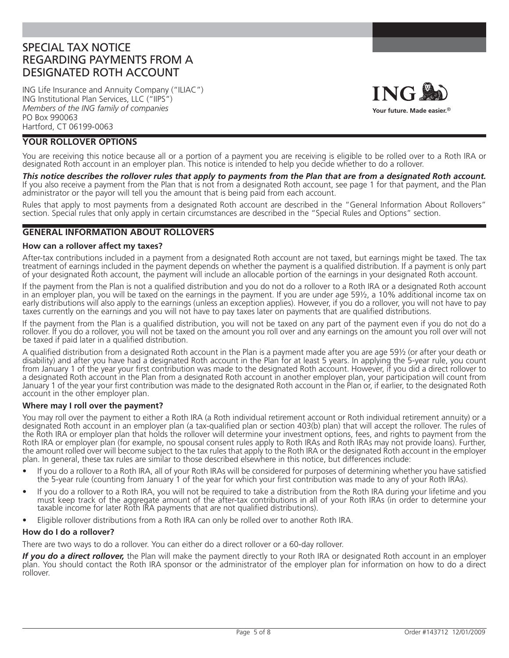# SPECIAL TAX NOTICE REGARDING PAYMENTS FROM A DESIGNATED ROTH ACCOUNT

ING Life Insurance and Annuity Company ("ILIAC") ING Institutional Plan Services, LLC ("IIPS") *Members of the ING family of companies* PO Box 990063 Hartford, CT 06199-0063



# **YOUR ROLLOVER OPTIONS**

You are receiving this notice because all or a portion of a payment you are receiving is eligible to be rolled over to a Roth IRA or designated Roth account in an employer plan. This notice is intended to help you decide whether to do a rollover.

*This notice describes the rollover rules that apply to payments from the Plan that are from a designated Roth account.* If you also receive a payment from the Plan that is not from a designated Roth account, see page 1 for that payment, and the Plan administrator or the payor will tell you the amount that is being paid from each account.

Rules that apply to most payments from a designated Roth account are described in the "General Information About Rollovers" section. Special rules that only apply in certain circumstances are described in the "Special Rules and Options" section.

## **GENERAL INFORMATION ABOUT ROLLOVERS**

#### **How can a rollover affect my taxes?**

After-tax contributions included in a payment from a designated Roth account are not taxed, but earnings might be taxed. The tax treatment of earnings included in the payment depends on whether the payment is a qualified distribution. If a payment is only part of your designated Roth account, the payment will include an allocable portion of the earnings in your designated Roth account.

If the payment from the Plan is not a qualified distribution and you do not do a rollover to a Roth IRA or a designated Roth account in an employer plan, you will be taxed on the earnings in the payment. If you are under age 59½, a 10% additional income tax on early distributions will also apply to the earnings (unless an exception applies). However, if you do a rollover, you will not have to pay taxes currently on the earnings and you will not have to pay taxes later on payments that are qualified distributions.

If the payment from the Plan is a qualified distribution, you will not be taxed on any part of the payment even if you do not do a rollover. If you do a rollover, you will not be taxed on the amount you roll over and any earnings on the amount you roll over will not be taxed if paid later in a qualified distribution.

A qualified distribution from a designated Roth account in the Plan is a payment made after you are age 59½ (or after your death or disability) and after you have had a designated Roth account in the Plan for at least 5 years. In applying the 5-year rule, you count from January 1 of the year your first contribution was made to the designated Roth account. However, if you did a direct rollover to a designated Roth account in the Plan from a designated Roth account in another employer plan, your participation will count from January 1 of the year your first contribution was made to the designated Roth account in the Plan or, if earlier, to the designated Roth account in the other employer plan.

#### **Where may I roll over the payment?**

You may roll over the payment to either a Roth IRA (a Roth individual retirement account or Roth individual retirement annuity) or a designated Roth account in an employer plan (a tax-qualified plan or section 403(b) plan) that will accept the rollover. The rules of the Roth IRA or employer plan that holds the rollover will determine your investment options, fees, and rights to payment from the Roth IRA or employer plan (for example, no spousal consent rules apply to Roth IRAs and Roth IRAs may not provide loans). Further, the amount rolled over will become subject to the tax rules that apply to the Roth IRA or the designated Roth account in the employer plan. In general, these tax rules are similar to those described elsewhere in this notice, but differences include:

- If you do a rollover to a Roth IRA, all of your Roth IRAs will be considered for purposes of determining whether you have satisfied the 5-year rule (counting from January 1 of the year for which your first contribution was made to any of your Roth IRAs).
- If you do a rollover to a Roth IRA, you will not be required to take a distribution from the Roth IRA during your lifetime and you must keep track of the aggregate amount of the after-tax contributions in all of your Roth IRAs (in order to determine your taxable income for later Roth IRA payments that are not qualified distributions).
- Eligible rollover distributions from a Roth IRA can only be rolled over to another Roth IRA.

### **How do I do a rollover?**

There are two ways to do a rollover. You can either do a direct rollover or a 60-day rollover.

If you do a direct rollover, the Plan will make the payment directly to your Roth IRA or designated Roth account in an employer plan. You should contact the Roth IRA sponsor or the administrator of the employer plan for information on how to do a direct rollover.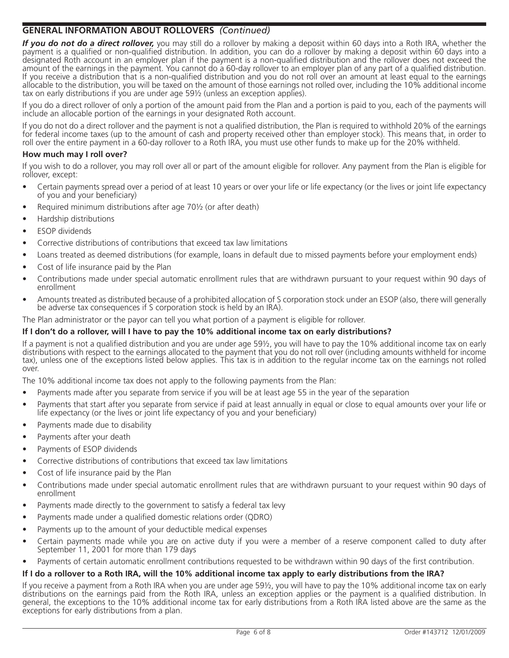# **GENERAL INFORMATION ABOUT ROLLOVERS** *(Continued)*

*If you do not do a direct rollover,* you may still do a rollover by making a deposit within 60 days into a Roth IRA, whether the payment is a qualified or non-qualified distribution. In addition, you can do a rollover by making a deposit within 60 days into a designated Roth account in an employer plan if the payment is a non-qualified distribution and the rollover does not exceed the amount of the earnings in the payment. You cannot do a 60-day rollover to an employer plan of any part of a qualified distribution. If you receive a distribution that is a non-qualified distribution and you do not roll over an amount at least equal to the earnings allocable to the distribution, you will be taxed on the amount of those earnings not rolled over, including the 10% additional income tax on early distributions if you are under age 59½ (unless an exception applies).

If you do a direct rollover of only a portion of the amount paid from the Plan and a portion is paid to you, each of the payments will include an allocable portion of the earnings in your designated Roth account.

If you do not do a direct rollover and the payment is not a qualified distribution, the Plan is required to withhold 20% of the earnings for federal income taxes (up to the amount of cash and property received other than employer stock). This means that, in order to roll over the entire payment in a 60-day rollover to a Roth IRA, you must use other funds to make up for the 20% withheld.

## **How much may I roll over?**

If you wish to do a rollover, you may roll over all or part of the amount eligible for rollover. Any payment from the Plan is eligible for rollover, except:

- Certain payments spread over a period of at least 10 years or over your life or life expectancy (or the lives or joint life expectancy of you and your beneficiary)
- Required minimum distributions after age 70½ (or after death)
- Hardship distributions
- ESOP dividends
- Corrective distributions of contributions that exceed tax law limitations
- Loans treated as deemed distributions (for example, loans in default due to missed payments before your employment ends)
- Cost of life insurance paid by the Plan
- Contributions made under special automatic enrollment rules that are withdrawn pursuant to your request within 90 days of enrollment
- Amounts treated as distributed because of a prohibited allocation of S corporation stock under an ESOP (also, there will generally be adverse tax consequences if S corporation stock is held by an IRA).

The Plan administrator or the payor can tell you what portion of a payment is eligible for rollover.

## **If I don't do a rollover, will I have to pay the 10% additional income tax on early distributions?**

If a payment is not a qualified distribution and you are under age  $59\frac{1}{2}$ , you will have to pay the 10% additional income tax on early distributions with respect to the earnings allocated to the payment that you do not roll over (including amounts withheld for income tax), unless one of the exceptions listed below applies. This tax is in addition to the regular income tax on the earnings not rolled over.

The 10% additional income tax does not apply to the following payments from the Plan:

- Payments made after you separate from service if you will be at least age 55 in the year of the separation
- Payments that start after you separate from service if paid at least annually in equal or close to equal amounts over your life or life expectancy (or the lives or joint life expectancy of you and your beneficiary)
- Payments made due to disability
- Payments after your death
- Payments of ESOP dividends
- Corrective distributions of contributions that exceed tax law limitations
- Cost of life insurance paid by the Plan
- Contributions made under special automatic enrollment rules that are withdrawn pursuant to your request within 90 days of enrollment
- Payments made directly to the government to satisfy a federal tax levy
- Payments made under a qualified domestic relations order (QDRO)
- Payments up to the amount of your deductible medical expenses
- Certain payments made while you are on active duty if you were a member of a reserve component called to duty after September 11, 2001 for more than 179 days
- Payments of certain automatic enrollment contributions requested to be withdrawn within 90 days of the first contribution.

# **If I do a rollover to a Roth IRA, will the 10% additional income tax apply to early distributions from the IRA?**

If you receive a payment from a Roth IRA when you are under age 59½, you will have to pay the 10% additional income tax on early distributions on the earnings paid from the Roth IRA, unless an exception applies or the payment is a qualified distribution. In general, the exceptions to the 10% additional income tax for early distributions from a Roth IRA listed above are the same as the exceptions for early distributions from a plan.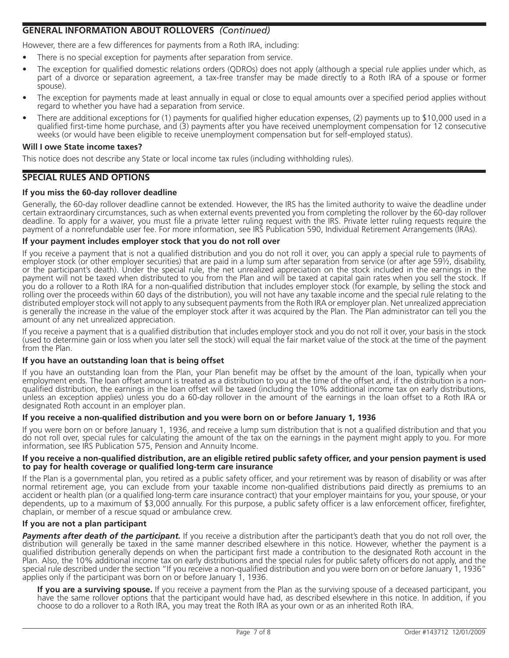# **GENERAL INFORMATION ABOUT ROLLOVERS** *(Continued)*

However, there are a few differences for payments from a Roth IRA, including:

- There is no special exception for payments after separation from service.
- The exception for qualified domestic relations orders (QDROs) does not apply (although a special rule applies under which, as part of a divorce or separation agreement, a tax-free transfer may be made directly to a Roth IRA of a spouse or former spouse).
- The exception for payments made at least annually in equal or close to equal amounts over a specified period applies without regard to whether you have had a separation from service.
- There are additional exceptions for (1) payments for qualified higher education expenses, (2) payments up to \$10,000 used in a qualified first-time home purchase, and (3) payments after you have received unemployment compensation for 12 consecutive weeks (or would have been eligible to receive unemployment compensation but for self-employed status).

#### **Will I owe State income taxes?**

This notice does not describe any State or local income tax rules (including withholding rules).

# **SPECIAL RULES AND OPTIONS**

## **If you miss the 60-day rollover deadline**

Generally, the 60-day rollover deadline cannot be extended. However, the IRS has the limited authority to waive the deadline under certain extraordinary circumstances, such as when external events prevented you from completing the rollover by the 60-day rollover deadline. To apply for a waiver, you must file a private letter ruling request with the IRS. Private letter ruling requests require the payment of a nonrefundable user fee. For more information, see IRS Publication 590, Individual Retirement Arrangements (IRAs).

### **If your payment includes employer stock that you do not roll over**

If you receive a payment that is not a qualified distribution and you do not roll it over, you can apply a special rule to payments of employer stock (or other employer securities) that are paid in a lump sum after separation from service (or after age 59½, disability, or the participant's death). Under the special rule, the net unrealized appreciation on the stock included in the earnings in the payment will not be taxed when distributed to you from the Plan and will be taxed at capital gain rates when you sell the stock. If you do a rollover to a Roth IRA for a non-qualified distribution that includes employer stock (for example, by selling the stock and rolling over the proceeds within 60 days of the distribution), you will not have any taxable income and the special rule relating to the distributed employer stock will not apply to any subsequent payments from the Roth IRA or employer plan. Net unrealized appreciation is generally the increase in the value of the employer stock after it was acquired by the Plan. The Plan administrator can tell you the amount of any net unrealized appreciation.

If you receive a payment that is a qualified distribution that includes employer stock and you do not roll it over, your basis in the stock (used to determine gain or loss when you later sell the stock) will equal the fair market value of the stock at the time of the payment from the Plan.

### **If you have an outstanding loan that is being offset**

If you have an outstanding loan from the Plan, your Plan benefit may be offset by the amount of the loan, typically when your employment ends. The loan offset amount is treated as a distribution to you at the time of the offset and, if the distribution is a non-<br>qualified distribution, the earnings in the loan offset will be taxed (including the unless an exception applies) unless you do a 60-day rollover in the amount of the earnings in the loan offset to a Roth IRA or designated Roth account in an employer plan.

### If you receive a non-qualified distribution and you were born on or before January 1, 1936

If you were born on or before January 1, 1936, and receive a lump sum distribution that is not a qualified distribution and that you do not roll over, special rules for calculating the amount of the tax on the earnings in the payment might apply to you. For more information, see IRS Publication 575, Pension and Annuity Income.

#### If you receive a non-qualified distribution, are an eligible retired public safety officer, and your pension payment is used to pay for health coverage or qualified long-term care insurance

If the Plan is a governmental plan, you retired as a public safety officer, and your retirement was by reason of disability or was after normal retirement age, you can exclude from your taxable income non-qualified distributions paid directly as premiums to an accident or health plan (or a qualified long-term care insurance contract) that your employer maintains for you, your spouse, or your dependents, up to a maximum of \$3,000 annually. For this purpose, a public safety officer is a law enforcement officer, firefighter, chaplain, or member of a rescue squad or ambulance crew.

### **If you are not a plan participant**

**Payments after death of the participant.** If you receive a distribution after the participant's death that you do not roll over, the distribution will generally be taxed in the same manner described elsewhere in this notice. However, whether the payment is a qualified distribution generally depends on when the participant first made a contribution to the designated Roth account in the Plan. Also, the 10% additional income tax on early distributions and the special rules for public safety officers do not apply, and the special rule described under the section "If you receive a non-qualified distribution and you were born on or before January 1, 1936" applies only if the participant was born on or before January 1, 1936.

**If you are a surviving spouse.** If you receive a payment from the Plan as the surviving spouse of a deceased participant, you have the same rollover options that the participant would have had, as described elsewhere in this notice. In addition, if you choose to do a rollover to a Roth IRA, you may treat the Roth IRA as your own or as an inherited Roth IRA.